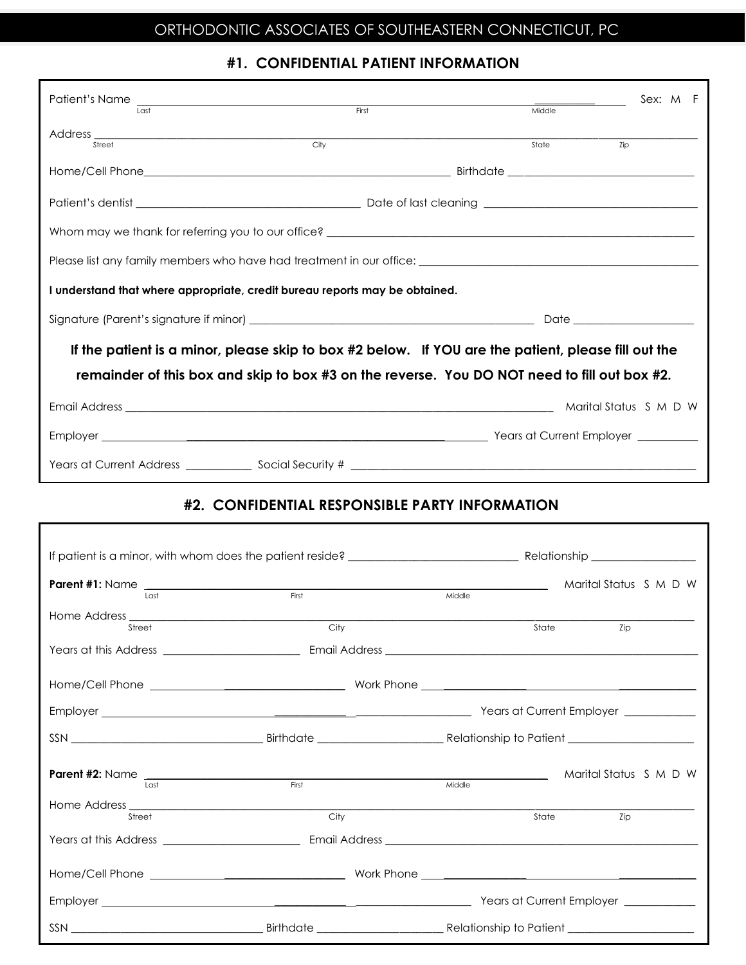## **ORTHODONTIC ASSOCIATES OF SOUTHEASTERN CONNECTICUT, PC** ORTHODONTIC ASSOCIATES OF SOUTHEASTERN CONNECTICUT, PC

## **#1. CONFIDENTIAL PATIENT INFORMATION**

| Patient's Name<br><u> 1989 - Andrea Stadt Britain, amerikansk politik (</u><br>$1$ ast              | First | Middle                     | Sex: M F |  |  |  |  |
|-----------------------------------------------------------------------------------------------------|-------|----------------------------|----------|--|--|--|--|
| Street                                                                                              | City  | State<br>Zip               |          |  |  |  |  |
|                                                                                                     |       |                            |          |  |  |  |  |
|                                                                                                     |       |                            |          |  |  |  |  |
|                                                                                                     |       |                            |          |  |  |  |  |
|                                                                                                     |       |                            |          |  |  |  |  |
| I understand that where appropriate, credit bureau reports may be obtained.                         |       |                            |          |  |  |  |  |
|                                                                                                     |       | Date _____________________ |          |  |  |  |  |
| If the patient is a minor, please skip to box #2 below. If YOU are the patient, please fill out the |       |                            |          |  |  |  |  |
| remainder of this box and skip to box #3 on the reverse. You DO NOT need to fill out box #2.        |       |                            |          |  |  |  |  |
|                                                                                                     |       | Marital Status S M D W     |          |  |  |  |  |
|                                                                                                     |       |                            |          |  |  |  |  |
|                                                                                                     |       |                            |          |  |  |  |  |

## **#2. CONFIDENTIAL RESPONSIBLE PARTY INFORMATION**

|        |       | <u> 1990 - Johann Barbara, mart</u> | Marital Status S M D W |  |  |  |
|--------|-------|-------------------------------------|------------------------|--|--|--|
| tan 1  | First | Middle                              |                        |  |  |  |
|        |       |                                     |                        |  |  |  |
| Street | City  |                                     | State<br>Zip           |  |  |  |
|        |       |                                     |                        |  |  |  |
|        |       |                                     |                        |  |  |  |
|        |       |                                     |                        |  |  |  |
|        |       |                                     |                        |  |  |  |
|        |       |                                     | Marital Status S M D W |  |  |  |
| Last   | First | Middle                              |                        |  |  |  |
|        |       |                                     |                        |  |  |  |
| Street | City  | State                               | Zip                    |  |  |  |
|        |       |                                     |                        |  |  |  |
|        |       |                                     |                        |  |  |  |
|        |       |                                     |                        |  |  |  |
|        |       |                                     |                        |  |  |  |